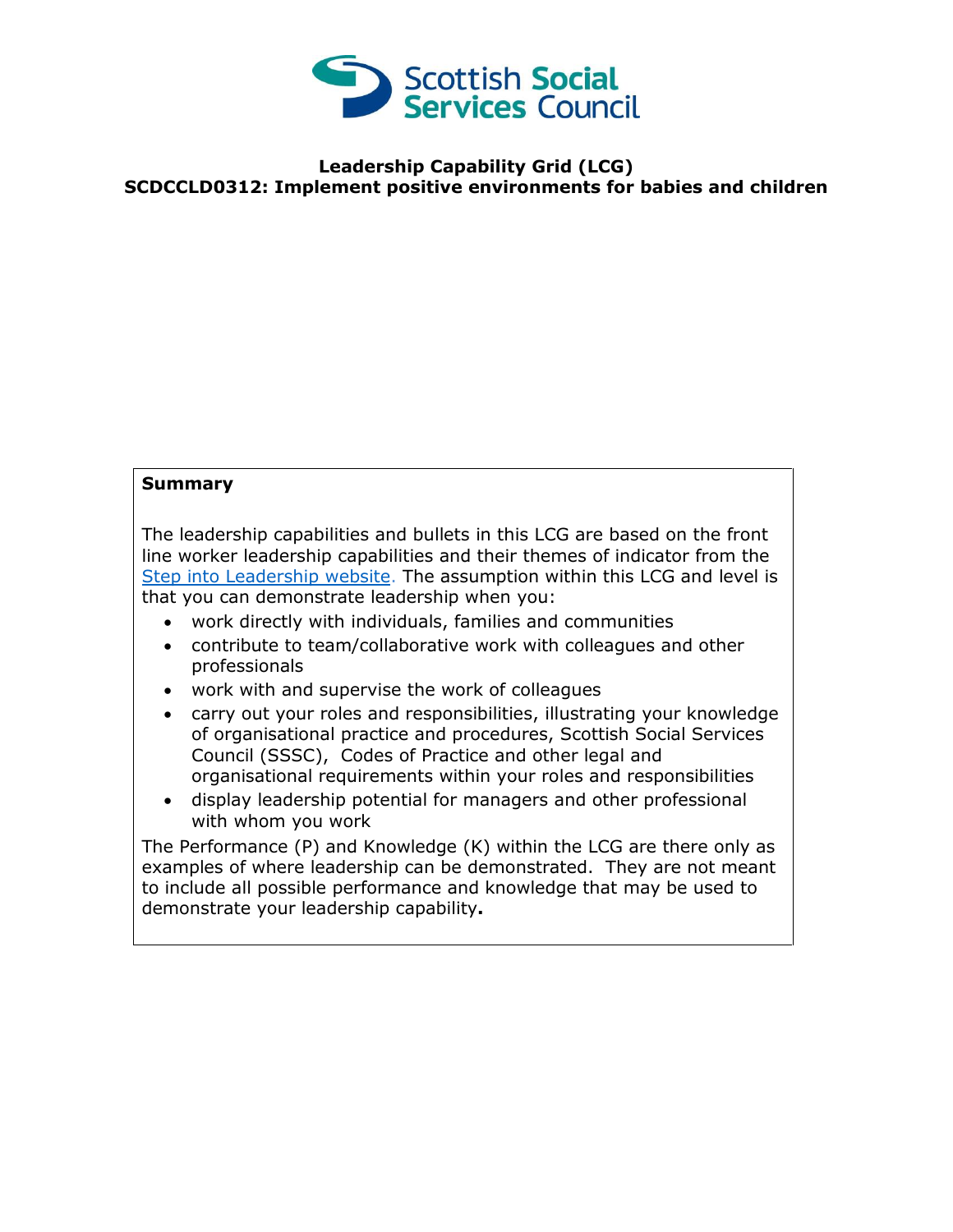

## **Leadership Capability Grid (LCG) SCDCCLD0312: Implement positive environments for babies and children**

## **Summary**

The leadership capabilities and bullets in this LCG are based on the front line worker leadership capabilities and their themes of indicator from the [Step into Leadership website.](http://www.stepintoleadership.info/) The assumption within this LCG and level is that you can demonstrate leadership when you:

- work directly with individuals, families and communities
- contribute to team/collaborative work with colleagues and other professionals
- work with and supervise the work of colleagues
- carry out your roles and responsibilities, illustrating your knowledge of organisational practice and procedures, Scottish Social Services Council (SSSC), Codes of Practice and other legal and organisational requirements within your roles and responsibilities
- display leadership potential for managers and other professional with whom you work

The Performance (P) and Knowledge (K) within the LCG are there only as examples of where leadership can be demonstrated. They are not meant to include all possible performance and knowledge that may be used to demonstrate your leadership capability**.**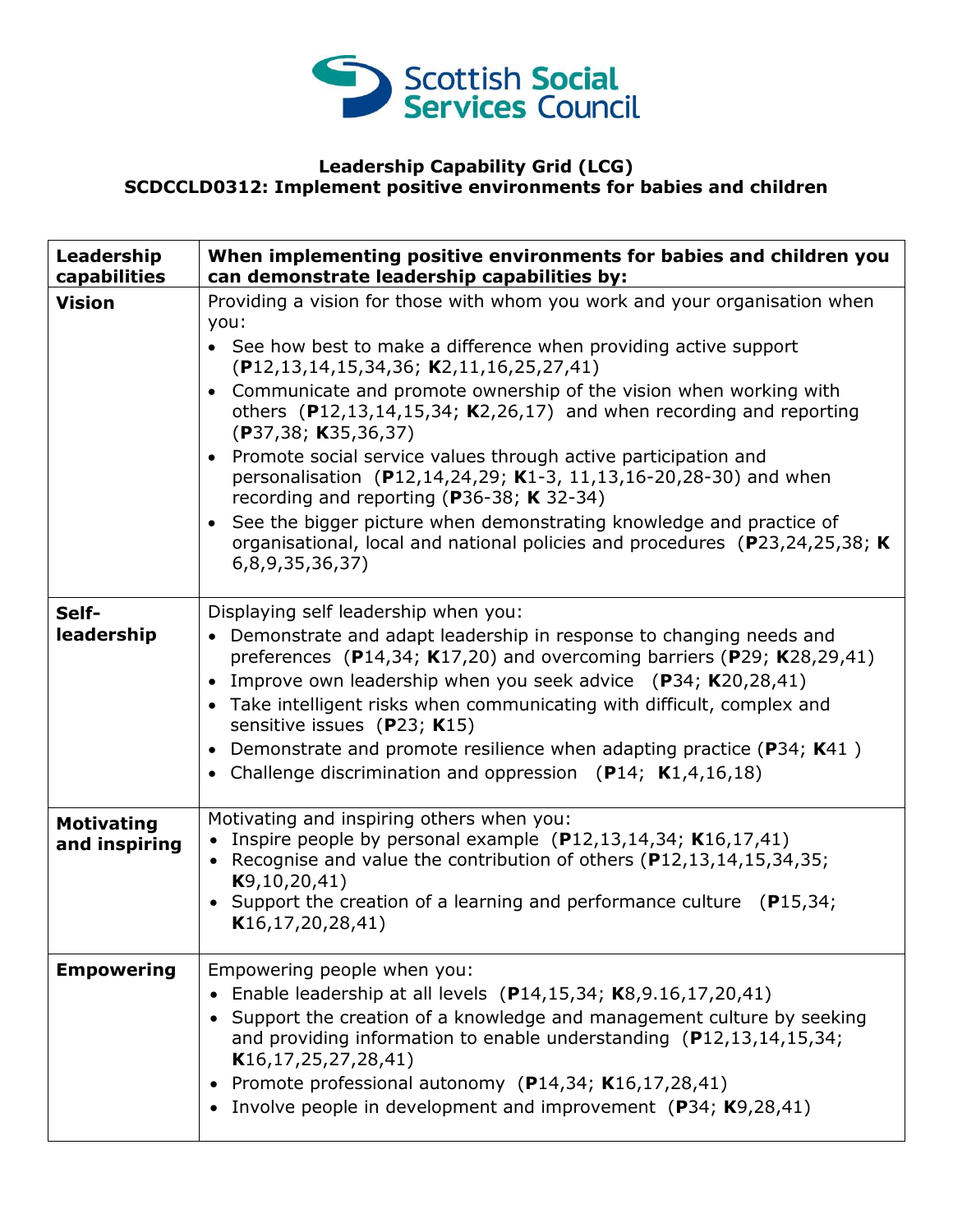

## **Leadership Capability Grid (LCG) SCDCCLD0312: Implement positive environments for babies and children**

| Leadership<br>capabilities         | When implementing positive environments for babies and children you<br>can demonstrate leadership capabilities by:                                                                                                                                                                                                                                                                                                                                                   |
|------------------------------------|----------------------------------------------------------------------------------------------------------------------------------------------------------------------------------------------------------------------------------------------------------------------------------------------------------------------------------------------------------------------------------------------------------------------------------------------------------------------|
| <b>Vision</b>                      | Providing a vision for those with whom you work and your organisation when<br>you:<br>• See how best to make a difference when providing active support<br>$(P12, 13, 14, 15, 34, 36; K2, 11, 16, 25, 27, 41)$                                                                                                                                                                                                                                                       |
|                                    | Communicate and promote ownership of the vision when working with<br>others $(P12, 13, 14, 15, 34; K2, 26, 17)$ and when recording and reporting<br>(P37, 38; K35, 36, 37)<br>Promote social service values through active participation and<br>$\bullet$                                                                                                                                                                                                            |
|                                    | personalisation (P12,14,24,29; K1-3, 11,13,16-20,28-30) and when<br>recording and reporting (P36-38; K 32-34)                                                                                                                                                                                                                                                                                                                                                        |
|                                    | See the bigger picture when demonstrating knowledge and practice of<br>organisational, local and national policies and procedures (P23,24,25,38; K)<br>6,8,9,35,36,37)                                                                                                                                                                                                                                                                                               |
| Self-                              | Displaying self leadership when you:                                                                                                                                                                                                                                                                                                                                                                                                                                 |
| leadership                         | • Demonstrate and adapt leadership in response to changing needs and<br>preferences (P14,34; K17,20) and overcoming barriers (P29; K28,29,41)<br>Improve own leadership when you seek advice $(P34; K20,28,41)$<br>Take intelligent risks when communicating with difficult, complex and<br>sensitive issues (P23; K15)<br>Demonstrate and promote resilience when adapting practice ( $P34$ ; K41)<br>• Challenge discrimination and oppression $(P14; K1,4,16,18)$ |
|                                    |                                                                                                                                                                                                                                                                                                                                                                                                                                                                      |
| <b>Motivating</b><br>and inspiring | Motivating and inspiring others when you:<br>• Inspire people by personal example $(P12, 13, 14, 34; K16, 17, 41)$<br>• Recognise and value the contribution of others (P12,13,14,15,34,35;<br>K9, 10, 20, 41)<br>Support the creation of a learning and performance culture $(P15,34)$ ;<br>K16, 17, 20, 28, 41)                                                                                                                                                    |
| <b>Empowering</b>                  | Empowering people when you:<br>Enable leadership at all levels (P14,15,34; K8,9.16,17,20,41)<br>$\bullet$<br>Support the creation of a knowledge and management culture by seeking<br>and providing information to enable understanding $(P12, 13, 14, 15, 34)$<br>K16, 17, 25, 27, 28, 41)<br>Promote professional autonomy (P14,34; K16,17,28,41)<br>$\bullet$<br>Involve people in development and improvement (P34; K9,28,41)                                    |